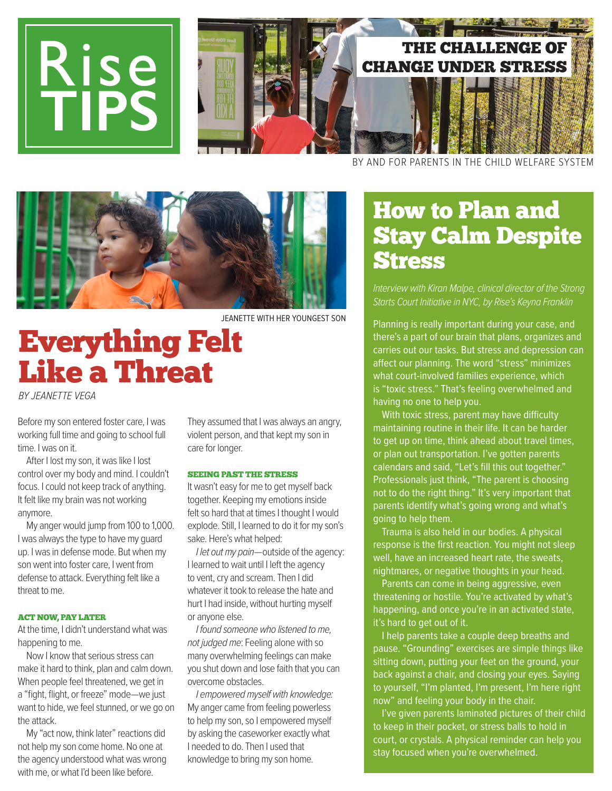

BY AND FOR PARENTS IN THE CHILD WELFARE SYSTEM



# Everything Felt Like a Threat

BY JEANETTE VEGA

Before my son entered foster care, I was working full time and going to school full time. I was on it.

After I lost my son, it was like I lost control over my body and mind. I couldn't focus. I could not keep track of anything. It felt like my brain was not working anymore.

My anger would jump from 100 to 1,000. I was always the type to have my guard up. I was in defense mode. But when my son went into foster care, I went from defense to attack. Everything felt like a threat to me.

#### ACT NOW, PAY LATER

At the time, I didn't understand what was happening to me.

Now I know that serious stress can make it hard to think, plan and calm down. When people feel threatened, we get in a "fight, flight, or freeze" mode—we just want to hide, we feel stunned, or we go on the attack.

My "act now, think later" reactions did not help my son come home. No one at the agency understood what was wrong with me, or what I'd been like before.

They assumed that I was always an angry, violent person, and that kept my son in care for longer.

### SEEING PAST THE STRESS

It wasn't easy for me to get myself back together. Keeping my emotions inside felt so hard that at times I thought I would explode. Still, I learned to do it for my son's sake. Here's what helped:

I let out my pain-outside of the agency: I learned to wait until I left the agency to vent, cry and scream. Then I did whatever it took to release the hate and hurt I had inside, without hurting myself or anyone else.

I found someone who listened to me, not judged me: Feeling alone with so many overwhelming feelings can make you shut down and lose faith that you can overcome obstacles.

I empowered myself with knowledge: My anger came from feeling powerless to help my son, so I empowered myself by asking the caseworker exactly what I needed to do. Then I used that knowledge to bring my son home.

# How to Plan and Stay Calm Despite **Stress**

Interview with Kiran Malpe, clinical director of the Strong Starts Court Initiative in NYC, by Rise's Keyna Franklin

Planning is really important during your case, and there's a part of our brain that plans, organizes and carries out our tasks. But stress and depression can afect our planning. The word "stress" minimizes what court-involved families experience, which is "toxic stress." That's feeling overwhelmed and having no one to help you.

With toxic stress, parent may have difficulty maintaining routine in their life. It can be harder to get up on time, think ahead about travel times, or plan out transportation. I've gotten parents calendars and said, "Let's fill this out together." Professionals just think, "The parent is choosing not to do the right thing." It's very important that parents identify what's going wrong and what's going to help them.

Trauma is also held in our bodies. A physical response is the first reaction. You might not sleep well, have an increased heart rate, the sweats, nightmares, or negative thoughts in your head.

Parents can come in being aggressive, even threatening or hostile. You're activated by what's happening, and once you're in an activated state, it's hard to get out of it.

I help parents take a couple deep breaths and pause. "Grounding" exercises are simple things like sitting down, putting your feet on the ground, your back against a chair, and closing your eyes. Saying to yourself, "I'm planted, I'm present, I'm here right now" and feeling your body in the chair.

I've given parents laminated pictures of their child to keep in their pocket, or stress balls to hold in court, or crystals. A physical reminder can help you stay focused when you're overwhelmed.